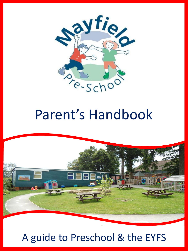

# Parent's Handbook



# A guide to Preschool & the EYFS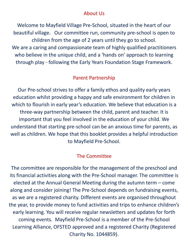#### About Us

Welcome to Mayfield Village Pre-School, situated in the heart of our beautiful village. Our committee run, community pre-school is open to children from the age of 2 years until they go to school. We are a caring and compassionate team of highly qualified practitioners who believe in the unique child, and a 'hands on' approach to learning through play - following the Early Years Foundation Stage Framework.

#### Parent Partnership

Our Pre-school strives to offer a family ethos and quality early years education whilst providing a happy and safe environment for children in which to flourish in early year's education. We believe that education is a three-way partnership between the child, parent and teacher. It is important that you feel involved in the education of your child. We understand that starting pre-school can be an anxious time for parents, as well as children. We hope that this booklet provides a helpful introduction to Mayfield Pre-School.

#### The Committee

The committee are responsible for the management of the preschool and its financial activities along with the Pre-School manager. The committee is elected at the Annual General Meeting during the autumn term – come along and consider joining! The Pre-School depends on fundraising events, as we are a registered charity. Different events are organised throughout the year, to provide money to fund activities and trips to enhance children's early learning. You will receive regular newsletters and updates for forth coming events. Mayfield Pre-School is a member of the Pre-School Learning Alliance, OFSTED approved and a registered Charity (Registered Charity No. 1044859).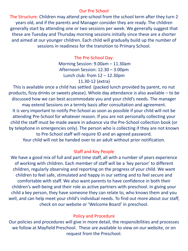#### Our Pre School

The Structure: Children may attend pre-school from the school term after they turn 2 years old, and if the parents and Manager consider they are ready. The children generally start by attending one or two sessions per week. We generally suggest that these are Tuesday and Thursday morning sessions initially since these are a shorter and aimed at our younger children. Each child will gradually build up the number of sessions in readiness for the transition to Primary School.

#### The Pre-School Day:

Morning Session: 9.00am – 11.30am Afternoon Session: 12.30 – 3.00pm Lunch club: from  $12 - 12.30$ pm 11.30-12 (extra)

This is available once a child has settled (packed lunch provided by parent, no nut products, fizzy drinks or sweets please). Whole day attendance is also available – to be discussed how we can best accommodate you and your child's needs. The manager may extend Sessions on a termly basis after consultation and agreement. It is very important to notify Pre-School as soon as possible if your child will not be attending Pre-School for whatever reason. If you are not personally collecting your child the staff must be made aware in advance via the Pre-School collection book (or by telephone in emergencies only). The person who is collecting if they are not known to Pre-School staff will require ID and an agreed password.

Your child will not be handed over to an adult without prior notification.

#### Staff and Key People

We have a good mix of full and part time staff, all with a number of years experience of working with children. Each member of staff will be a 'key person' to different children, regularly observing and reporting on the progress of your child. We want children to feel safe, stimulated and happy in our setting and to feel secure and comfortable with staff. We also want parents to have confidence in both their children's well-being and their role as active partners with preschool. In giving your child a key person, they have someone they can relate to, who knows them and you well, and can help meet your child's individual needs. To find out more about our staff, check on our website or 'Welcome Board' in preschool.

#### Policy and Procedure

Our policies and procedures will give in more detail, the responsibilities and processes we follow at Mayfield Preschool. These are available to view on our website, or on request from the Preschool.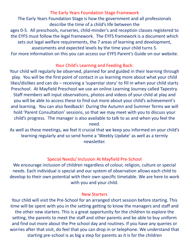#### The Early Years Foundation Stage Framework

The Early Years Foundation Stage is how the government and all professionals describe the time of a child's life between the

ages 0-5. All preschools, nurseries, child-minder's and reception classes registered to the EYFS must follow the legal framework. The EYFS framework is a document which sets out legal welfare requirements, the 7 areas of learning and development, assessments and expected levels by the time your child turns 5.

For more information on this you can access our EYFS Parent's Guide on our website.

#### Your Child's Learning and Feeding Back:

Your child will regularly be observed, planned for and guided in their learning through play. You will be the first point of contact in us learning more about what your child likes/dislikes and can do – receiving a 'superstar story' to fill in when your child starts Preschool. At Mayfield Preschool we use an online Learning Journey called Tapestry. Staff members will input observations, photos and videos of your child at play and you will be able to access these to find out more about your child's achievement's and learning. You can also feedback! During the Autumn and Summer Terms we will hold 'Parent Consultation' sessions, so that we may meet with you to discuss your child's progress. The manager is also available to talk to as and when you feel the need.

As well as these meetings, we feel it crucial that we keep you informed on your child's learning regularly and so send home a 'Weekly Update' as well as a termly newsletter.

#### Special Needs/ Inclusion At Mayfield Pre-School

We encourage inclusion of children regardless of colour, religion, culture or special needs. Each individual is special and our system of observation allows each child to develop to their own potential with their own specific timetable. We are here to work with you and your child.

#### New Starters

Your child will visit the Pre-School for an arranged short session before starting. This time will be spent with you in the setting getting to know the managers and staff and the other new starters. This is a great opportunity for the children to explore the setting, the parents to meet the staff and other parents and be able to buy uniform and find out more about the Pre school day and routines. If you have any queries or worries after that visit, do feel that you can drop in or telephone. We understand that starting pre-school is as big a step for parents as it is for the children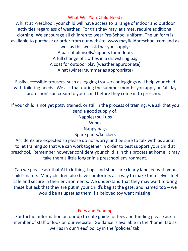#### What Will Your Child Need?

Whilst at Preschool, your child will have access to a range of indoor and outdoor activities regardless of weather. For this they may, at times, require additional clothing! We encourage all children to wear Pre-School uniform. The uniform is available to purchase or order from our website, www.mayfieldpreschool.com and as well as this we ask that you supply:

A pair of plimsolls/slippers for indoors A full change of clothes in a drawstring bag A coat for outdoor play (weather appropriate) A hat (winter/summer as appropriate)

Easily accessible trousers, such as jogging trousers or leggings will help your child with toileting needs. We ask that during the summer months you apply an 'all day protection' sun cream to your child before they come in to preschool.

If your child is not yet potty trained, or still in the process of training, we ask that you send a good supply of: Nappies/pull ups **Wipes** Nappy bags Spare pants/knickers Accidents are expected so please do not worry, and be sure to talk with us about

toilet training so that we can work together in order to best support your child at preschool. Remember however confident your child is in this process at home, it may take them a little longer in a preschool environment.

Can we please ask that ALL clothing, bags and shoes are clearly labelled with your child's name. Many children also have comforters as a way to make themselves feel safe and secure in their environments. We understand that they may want to bring these but ask that they are put in your child's bag at the gate, and named too  $-\omega e$ would be as upset as them if a beloved toy went missing!

#### Fees and Funding

For further information on our up to date guide for fees and funding please ask a member of staff or look on our website. Guidance is available in the 'home' tab as well as in our 'Fees' policy in the 'policies' tab.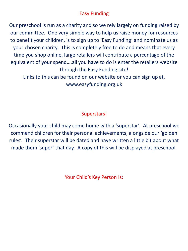### Easy Funding

Our preschool is run as a charity and so we rely largely on funding raised by our committee. One very simple way to help us raise money for resources to benefit your children, is to sign up to 'Easy Funding' and nominate us as your chosen charity. This is completely free to do and means that every time you shop online, large retailers will contribute a percentage of the equivalent of your spend….all you have to do is enter the retailers website through the Easy Funding site! Links to this can be found on our website or you can sign up at,

www.easyfunding.org.uk

## Superstars!

Occasionally your child may come home with a 'superstar'. At preschool we commend children for their personal achievements, alongside our 'golden rules'. Their superstar will be dated and have written a little bit about what made them 'super' that day. A copy of this will be displayed at preschool.

Your Child's Key Person Is: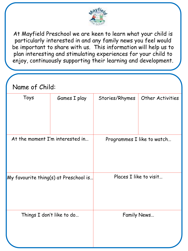

At Mayfield Preschool we are keen to learn what your child is particularly interested in and any family news you feel would be important to share with us. This information will help us to plan interesting and stimulating experiences for your child to enjoy, continuously supporting their learning and development.

| Name of Child:                        |              |                            |                         |
|---------------------------------------|--------------|----------------------------|-------------------------|
| Toys                                  | Games I play | Stories/Rhymes             | <b>Other Activities</b> |
| At the moment I'm interested in       |              | Programmes I like to watch |                         |
| My favourite thing(s) at Preschool is |              | Places I like to visit     |                         |
| Things I don't like to do             |              | Family News                |                         |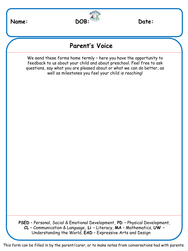

# **Parent's Voice**

We send these forms home termly – here you have the opportunity to feedback to us about your child and about preschool. Feel free to ask questions, say what you are pleased about or what we can do better, as well as milestones you feel your child is reaching!

**PSED** – Personal, Social & Emotional Development, **PD** – Physical Development, **CL** – Communication & Language, **Li** – Literacy, **MA** – Mathematics, **UW** – Understanding the World, **EAD** – Expressive Arts and Design

This form can be filled in by the parent/carer, or to make notes from conversations had with parents.